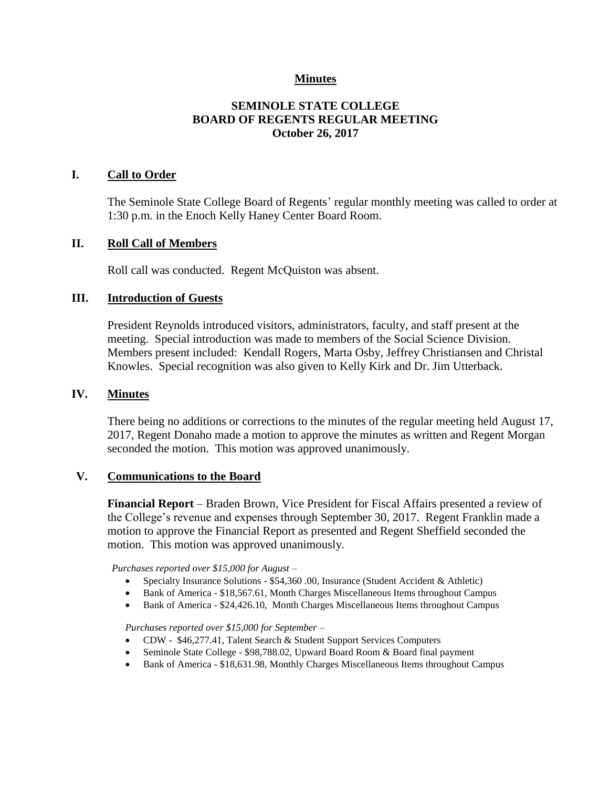### **Minutes**

## **SEMINOLE STATE COLLEGE BOARD OF REGENTS REGULAR MEETING October 26, 2017**

### **I. Call to Order**

The Seminole State College Board of Regents' regular monthly meeting was called to order at 1:30 p.m. in the Enoch Kelly Haney Center Board Room.

### **II. Roll Call of Members**

Roll call was conducted. Regent McQuiston was absent.

### **III. Introduction of Guests**

President Reynolds introduced visitors, administrators, faculty, and staff present at the meeting. Special introduction was made to members of the Social Science Division. Members present included: Kendall Rogers, Marta Osby, Jeffrey Christiansen and Christal Knowles. Special recognition was also given to Kelly Kirk and Dr. Jim Utterback.

#### **IV. Minutes**

There being no additions or corrections to the minutes of the regular meeting held August 17, 2017, Regent Donaho made a motion to approve the minutes as written and Regent Morgan seconded the motion. This motion was approved unanimously.

#### **V. Communications to the Board**

**Financial Report** – Braden Brown, Vice President for Fiscal Affairs presented a review of the College's revenue and expenses through September 30, 2017. Regent Franklin made a motion to approve the Financial Report as presented and Regent Sheffield seconded the motion. This motion was approved unanimously.

*Purchases reported over \$15,000 for August –*

- Specialty Insurance Solutions \$54,360 .00, Insurance (Student Accident & Athletic)
- Bank of America \$18,567.61, Month Charges Miscellaneous Items throughout Campus
- Bank of America \$24,426.10, Month Charges Miscellaneous Items throughout Campus

*Purchases reported over \$15,000 for September –*

- CDW \$46,277.41, Talent Search & Student Support Services Computers
- Seminole State College \$98,788.02, Upward Board Room & Board final payment
- Bank of America \$18,631.98, Monthly Charges Miscellaneous Items throughout Campus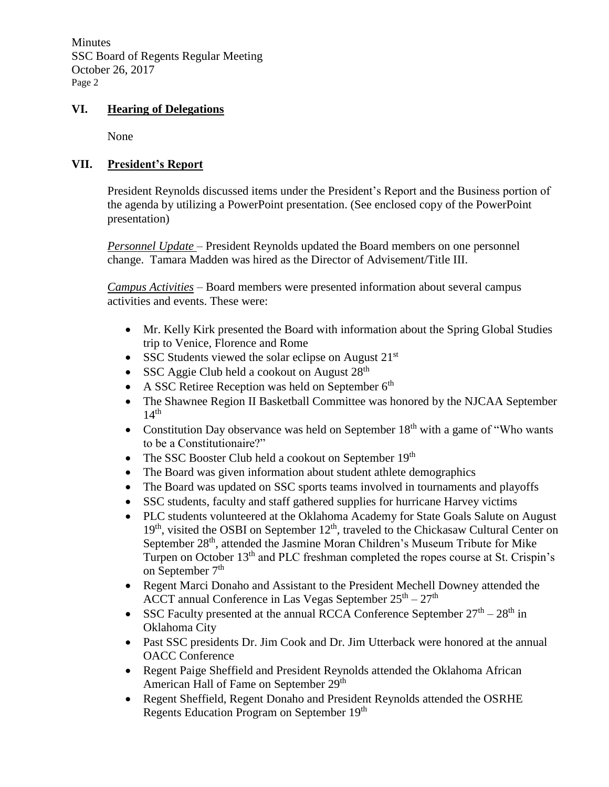**Minutes** SSC Board of Regents Regular Meeting October 26, 2017 Page 2

## **VI. Hearing of Delegations**

None

## **VII. President's Report**

President Reynolds discussed items under the President's Report and the Business portion of the agenda by utilizing a PowerPoint presentation. (See enclosed copy of the PowerPoint presentation)

*Personnel Update* – President Reynolds updated the Board members on one personnel change. Tamara Madden was hired as the Director of Advisement/Title III.

*Campus Activities* – Board members were presented information about several campus activities and events. These were:

- Mr. Kelly Kirk presented the Board with information about the Spring Global Studies trip to Venice, Florence and Rome
- SSC Students viewed the solar eclipse on August  $21<sup>st</sup>$
- SSC Aggie Club held a cookout on August 28<sup>th</sup>
- A SSC Retiree Reception was held on September  $6<sup>th</sup>$
- The Shawnee Region II Basketball Committee was honored by the NJCAA September  $14<sup>th</sup>$
- Constitution Day observance was held on September  $18<sup>th</sup>$  with a game of "Who wants" to be a Constitutionaire?"
- The SSC Booster Club held a cookout on September  $19<sup>th</sup>$
- The Board was given information about student athlete demographics
- The Board was updated on SSC sports teams involved in tournaments and playoffs
- SSC students, faculty and staff gathered supplies for hurricane Harvey victims
- PLC students volunteered at the Oklahoma Academy for State Goals Salute on August 19<sup>th</sup>, visited the OSBI on September 12<sup>th</sup>, traveled to the Chickasaw Cultural Center on September 28<sup>th</sup>, attended the Jasmine Moran Children's Museum Tribute for Mike Turpen on October 13<sup>th</sup> and PLC freshman completed the ropes course at St. Crispin's on September 7<sup>th</sup>
- Regent Marci Donaho and Assistant to the President Mechell Downey attended the ACCT annual Conference in Las Vegas September  $25<sup>th</sup> - 27<sup>th</sup>$
- SSC Faculty presented at the annual RCCA Conference September  $27<sup>th</sup> 28<sup>th</sup>$  in Oklahoma City
- Past SSC presidents Dr. Jim Cook and Dr. Jim Utterback were honored at the annual OACC Conference
- Regent Paige Sheffield and President Reynolds attended the Oklahoma African American Hall of Fame on September 29<sup>th</sup>
- Regent Sheffield, Regent Donaho and President Reynolds attended the OSRHE Regents Education Program on September 19<sup>th</sup>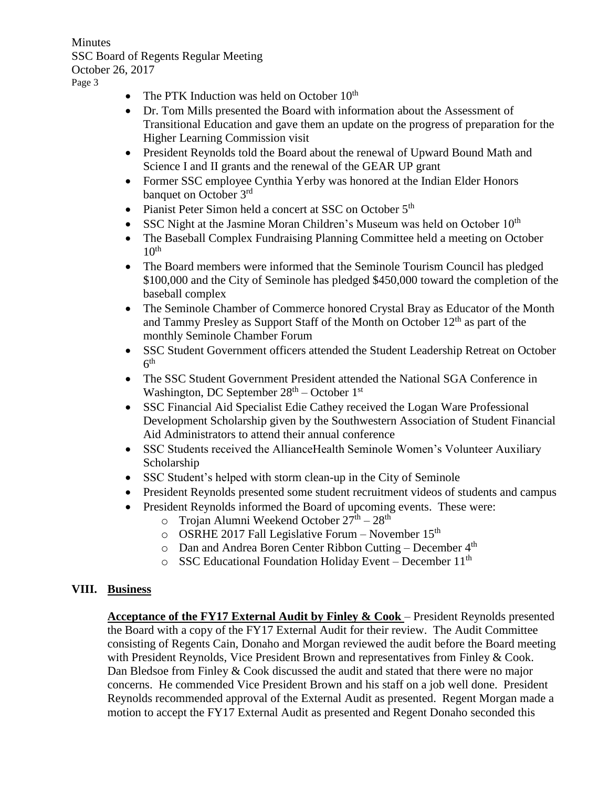**Minutes** SSC Board of Regents Regular Meeting October 26, 2017 Page 3

- The PTK Induction was held on October  $10^{th}$
- Dr. Tom Mills presented the Board with information about the Assessment of Transitional Education and gave them an update on the progress of preparation for the Higher Learning Commission visit
- President Reynolds told the Board about the renewal of Upward Bound Math and Science I and II grants and the renewal of the GEAR UP grant
- Former SSC employee Cynthia Yerby was honored at the Indian Elder Honors banquet on October 3<sup>rd</sup>
- Pianist Peter Simon held a concert at SSC on October  $5<sup>th</sup>$
- SSC Night at the Jasmine Moran Children's Museum was held on October  $10<sup>th</sup>$
- The Baseball Complex Fundraising Planning Committee held a meeting on October  $10<sup>th</sup>$
- The Board members were informed that the Seminole Tourism Council has pledged \$100,000 and the City of Seminole has pledged \$450,000 toward the completion of the baseball complex
- The Seminole Chamber of Commerce honored Crystal Bray as Educator of the Month and Tammy Presley as Support Staff of the Month on October  $12<sup>th</sup>$  as part of the monthly Seminole Chamber Forum
- SSC Student Government officers attended the Student Leadership Retreat on October  $6<sup>th</sup>$
- The SSC Student Government President attended the National SGA Conference in Washington, DC September  $28<sup>th</sup>$  – October  $1<sup>st</sup>$
- SSC Financial Aid Specialist Edie Cathey received the Logan Ware Professional Development Scholarship given by the Southwestern Association of Student Financial Aid Administrators to attend their annual conference
- SSC Students received the AllianceHealth Seminole Women's Volunteer Auxiliary Scholarship
- SSC Student's helped with storm clean-up in the City of Seminole
- President Reynolds presented some student recruitment videos of students and campus
- President Reynolds informed the Board of upcoming events. These were:
	- $\circ$  Trojan Alumni Weekend October  $27<sup>th</sup> 28<sup>th</sup>$
	- $\circ$  OSRHE 2017 Fall Legislative Forum November 15<sup>th</sup>
	- $\circ$  Dan and Andrea Boren Center Ribbon Cutting December  $4<sup>th</sup>$
	- $\circ$  SSC Educational Foundation Holiday Event December 11<sup>th</sup>

## **VIII. Business**

**Acceptance of the FY17 External Audit by Finley & Cook** – President Reynolds presented the Board with a copy of the FY17 External Audit for their review. The Audit Committee consisting of Regents Cain, Donaho and Morgan reviewed the audit before the Board meeting with President Reynolds, Vice President Brown and representatives from Finley & Cook. Dan Bledsoe from Finley & Cook discussed the audit and stated that there were no major concerns. He commended Vice President Brown and his staff on a job well done. President Reynolds recommended approval of the External Audit as presented. Regent Morgan made a motion to accept the FY17 External Audit as presented and Regent Donaho seconded this